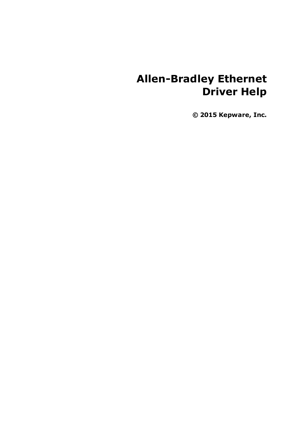# **Allen-Bradley Ethernet Driver Help**

**© 2015 Kepware, Inc.**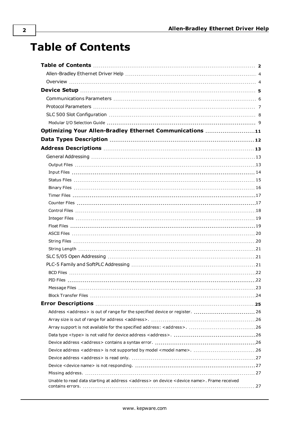## <span id="page-1-0"></span>**Table of Contents**

| Optimizing Your Allen-Bradley Ethernet Communications 11                                     |  |
|----------------------------------------------------------------------------------------------|--|
|                                                                                              |  |
|                                                                                              |  |
|                                                                                              |  |
|                                                                                              |  |
|                                                                                              |  |
|                                                                                              |  |
|                                                                                              |  |
|                                                                                              |  |
|                                                                                              |  |
|                                                                                              |  |
|                                                                                              |  |
|                                                                                              |  |
|                                                                                              |  |
|                                                                                              |  |
|                                                                                              |  |
|                                                                                              |  |
|                                                                                              |  |
|                                                                                              |  |
|                                                                                              |  |
|                                                                                              |  |
|                                                                                              |  |
|                                                                                              |  |
| Address <address> is out of range for the specified device or register.  26</address>        |  |
|                                                                                              |  |
|                                                                                              |  |
|                                                                                              |  |
|                                                                                              |  |
|                                                                                              |  |
|                                                                                              |  |
|                                                                                              |  |
|                                                                                              |  |
| Unable to read data starting at address < address > on device < device name>. Frame received |  |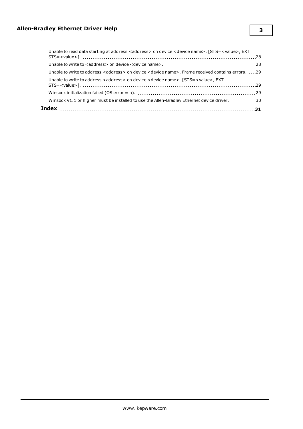| Winsock V1.1 or higher must be installed to use the Allen-Bradley Ethernet device driver. 30                           |  |
|------------------------------------------------------------------------------------------------------------------------|--|
|                                                                                                                        |  |
| Unable to write to address <address> on device <device name="">. [STS=<value>, EXT</value></device></address>          |  |
| Unable to write to address <address> on device <device name="">. Frame received contains errors. 29</device></address> |  |
|                                                                                                                        |  |
| Unable to read data starting at address < address > on device < device name >. [STS = < value >, EXT                   |  |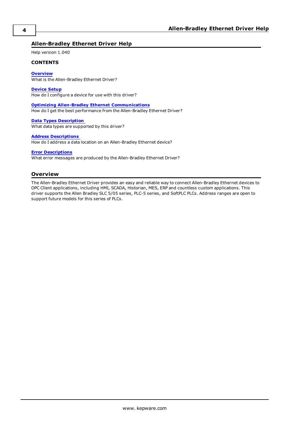#### <span id="page-3-0"></span>**Allen-Bradley Ethernet Driver Help**

Help version 1.040

#### **CONTENTS**

**[Overview](#page-3-1)**

What is the Allen-Bradley Ethernet Driver?

**[Device](#page-4-0) Setup**

How do I configure a device for use with this driver?

**Optimizing Allen-Bradley Ethernet [Communications](#page-10-0)**

How do I get the best performance from the Allen-Bradley Ethernet Driver?

**Data Types [Description](#page-11-0)** What data types are supported by this driver?

#### **Address [Descriptions](#page-12-0)**

How do I address a data location on an Allen-Bradley Ethernet device?

#### **Error [Descriptions](#page-24-0)**

What error messages are produced by the Allen-Bradley Ethernet Driver?

#### <span id="page-3-1"></span>**Overview**

The Allen-Bradley Ethernet Driver provides an easy and reliable way to connect Allen-Bradley Ethernet devices to OPC Client applications, including HMI, SCADA, Historian, MES, ERP and countless custom applications. This driver supports the Allen Bradley SLC 5/05 series, PLC-5 series, and SoftPLC PLCs. Address ranges are open to support future models for this series of PLCs.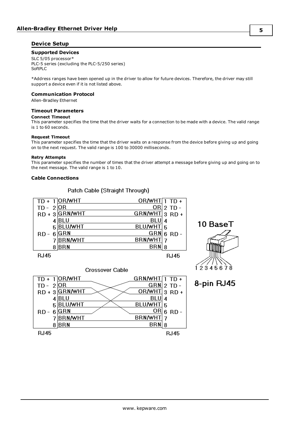#### <span id="page-4-0"></span>**Device Setup**

#### **Supported Devices**

SLC 5/05 processor\* PLC-5 series (excluding the PLC-5/250 series) SoftPLC

\*Address ranges have been opened up in the driver to allow for future devices. Therefore, the driver may still support a device even if it is not listed above.

#### **Communication Protocol**

Allen-Bradley Ethernet

#### **Timeout Parameters**

#### **Connect Timeout**

This parameter specifies the time that the driver waits for a connection to be made with a device. The valid range is 1 to 60 seconds.

#### **Request Timeout**

This parameter specifies the time that the driver waits on a response from the device before giving up and going on to the next request. The valid range is 100 to 30000 milliseconds.

#### **Retry Attempts**

This parameter specifies the number of times that the driver attempt a message before giving up and going on to the next message. The valid range is 1 to 10.

#### **Cable Connections**

#### Patch Cable (Straight Through)

|          | OR/WHT         | OR/WHT $\overline{1}$ TD + |          |
|----------|----------------|----------------------------|----------|
| TD -     | 2 OR           | ORI                        | $2$ TD - |
| $RD + 3$ | <b>GRN/WHT</b> | GRN/WHT 3 RD +             |          |
|          | BLU            | BLU                        |          |
| 5        | <b>BLU/WHT</b> | <b>BLU/WHT</b>             | 5        |
| RD       | GRN            | <b>GRN</b>                 | $6$ RD - |
|          | <b>BRN/WHT</b> | <b>BRN/WHT</b>             |          |
| 8        | <b>BRN</b>     | BRN                        |          |
| RJ45     |                |                            | RJ45     |

10 BaseT  $123456$ 

8-pin RJ45

|             |                 | <b>Crossover Cable</b> |                    |   |             |
|-------------|-----------------|------------------------|--------------------|---|-------------|
|             | $TD + 1$ OR/WHT |                        | $GRN/MHT$ $1$ TD + |   |             |
| $TD - 2$    | <b>OR</b>       |                        | GRN                |   | $2$ TD -    |
|             | RD + 3 GRN/WHT  |                        | OR/WHT 3 RD +      |   |             |
|             | BLU             |                        | BLU                | 4 |             |
| 5           | <b>BLU/WHT</b>  |                        | BLU/WHT            | 5 |             |
| RD -        | GRN             |                        | OR                 |   | $6$ RD -    |
|             | <b>BRN/WHT</b>  |                        | <b>BRN/WHT</b>     |   |             |
|             | <b>BRN</b>      |                        | BRN                | 8 |             |
| <b>RJ45</b> |                 |                        |                    |   | <b>RJ45</b> |

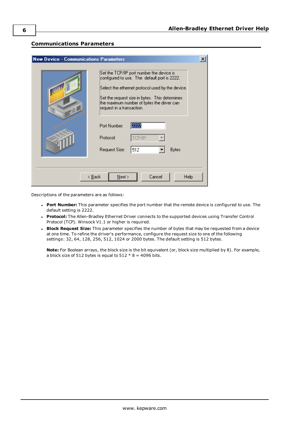#### <span id="page-5-0"></span>**Communications Parameters**

| <b>New Device - Communications Parameters</b><br>$\times$ |                                                                                                                                                                                                                                                                            |  |
|-----------------------------------------------------------|----------------------------------------------------------------------------------------------------------------------------------------------------------------------------------------------------------------------------------------------------------------------------|--|
| Q                                                         | Set the TCP/IP port number the device is<br>configured to use. The default port is 2222.<br>Select the ethernet protocol used by the device.<br>Set the request size in bytes. This determines.<br>the maximum number of bytes the driver can<br>request in a transaction. |  |
|                                                           | Port Number:<br>2222<br>TCP/IP<br>Protocol:<br><b>Bytes</b><br>Request Size:<br>512                                                                                                                                                                                        |  |
| Cancel<br>Help<br>< <u>B</u> ack<br>$N$ ext >             |                                                                                                                                                                                                                                                                            |  |

Descriptions of the parameters are as follows:

- <sup>l</sup> **Port Number:** This parameter specifies the port number that the remote device is configured to use. The default setting is 2222.
- <span id="page-5-1"></span>**· Protocol:** The Allen-Bradley Ethernet Driver connects to the supported devices using Transfer Control Protocol (TCP). Winsock V1.1 or higher is required.
- <sup>l</sup> **Block Request Size:** This parameter specifies the number of bytes that may be requested from a device at one time. To refine the driver's performance, configure the request size to one of the following settings: 32, 64, 128, 256, 512, 1024 or 2000 bytes. The default setting is 512 bytes.

**Note:** For Boolean arrays, the block size is the bit equivalent (or, block size multiplied by 8). For example, a block size of 512 bytes is equal to  $512 * 8 = 4096$  bits.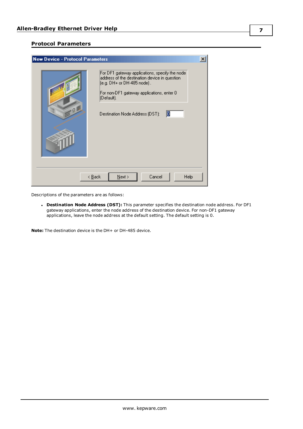#### <span id="page-6-0"></span>**Protocol Parameters**



Descriptions of the parameters are as follows:

<span id="page-6-1"></span><sup>l</sup> **Destination Node Address (DST):** This parameter specifies the destination node address. For DF1 gateway applications, enter the node address of the destination device. For non-DF1 gateway applications, leave the node address at the default setting. The default setting is 0.

**Note:** The destination device is the DH+ or DH-485 device.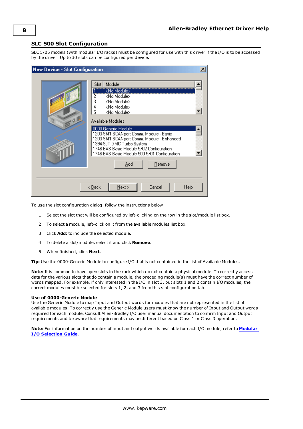### <span id="page-7-0"></span>**SLC 500 Slot Configuration**

SLC 5/05 models (with modular I/O racks) must be configured for use with this driver if the I/O is to be accessed by the driver. Up to 30 slots can be configured per device.

| <b>New Device - Slot Configuration</b> | $\pmb{\times}$                                                                                                                                                                                                                                                                                                                                                                                                                                             |
|----------------------------------------|------------------------------------------------------------------------------------------------------------------------------------------------------------------------------------------------------------------------------------------------------------------------------------------------------------------------------------------------------------------------------------------------------------------------------------------------------------|
| Q                                      | Module<br>Slot<br><no module=""><br/>2<br/><no module=""><br/>3<br/><no module=""><br/>4<br/><no module=""><br/>5<br/><no module=""><br/>Available Modules<br/>0000-Generic Module<br/>1203-SM1 SCANport Comm. Module - Basic<br/>1203-SM1 SCANport Comm. Module - Enhanced<br/>1394-SJT GMC Turbo System<br/>1746-BAS Basic Module 5/02 Configuration<br/>1746-BAS Basic Module 500 5/01 Configuration<br/>Add<br/><b>Remove</b></no></no></no></no></no> |
|                                        | Cancel<br>$N$ ext ><br>Help<br>< <u>B</u> ack                                                                                                                                                                                                                                                                                                                                                                                                              |

To use the slot configuration dialog, follow the instructions below:

- 1. Select the slot that will be configured by left-clicking on the row in the slot/module list box.
- 2. To select a module, left-click on it from the available modules list box.
- 3. Click **Add:** to include the selected module.
- 4. To delete a slot/module, select it and click **Remove**.
- 5. When finished, click **Next**.

**Tip:** Use the 0000-Generic Module to configure I/O that is not contained in the list of Available Modules.

**Note:** It is common to have open slots in the rack which do not contain a physical module. To correctly access data for the various slots that do contain a module, the preceding module(s) must have the correct number of words mapped. For example, if only interested in the I/O in slot 3, but slots 1 and 2 contain I/O modules, the correct modules must be selected for slots 1, 2, and 3 from this slot configuration tab.

#### **Use of 0000-Generic Module**

Use the Generic Module to map Input and Output words for modules that are not represented in the list of available modules. To correctly use the Generic Module users must know the number of Input and Output words required for each module. Consult Allen-Bradley I/O user manual documentation to confirm Input and Output requirements and be aware that requirements may be different based on Class 1 or Class 3 operation.

**Note:** For information on the number of input and output words available for each I/O module, refer to **[Modular](#page-8-0) I/O [Selection](#page-8-0) Guide**.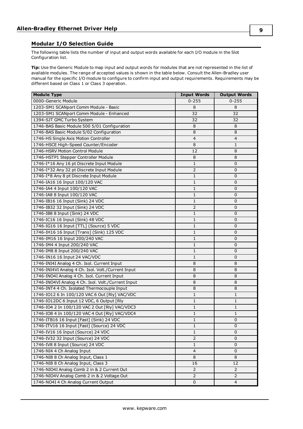#### <span id="page-8-0"></span>**Modular I/O Selection Guide**

The following table lists the number of input and output words available for each I/O module in the Slot Configuration list.

**Tip:** Use the Generic Module to map input and output words for modules that are not represented in the list of available modules. The range of accepted values is shown in the table below. Consult the Allen-Bradley user manual for the specific I/O module to configure to confirm input and output requirements. Requirements may be different based on Class 1 or Class 3 operation.

| <b>Module Type</b>                                 | <b>Input Words</b>      | <b>Output Words</b> |
|----------------------------------------------------|-------------------------|---------------------|
| 0000-Generic Module                                | $0 - 255$               | $0 - 255$           |
| 1203-SM1 SCANport Comm Module - Basic              | 8                       | 8                   |
| 1203-SM1 SCANport Comm Module - Enhanced           | 32                      | 32                  |
| 1394-SJT GMC Turbo System                          | 32                      | 32                  |
| 1746-BAS Basic Module 500 5/01 Configuration       | 8                       | 8                   |
| 1746-BAS Basic Module 5/02 Configuration           | 8                       | $\,8\,$             |
| 1746-HS Single Axis Motion Controller              | $\overline{\mathbf{4}}$ | $\overline{4}$      |
| 1746-HSCE High-Speed Counter/Encoder               | 8                       | $\mathbf{1}$        |
| 1746-HSRV Motion Control Module                    | 12                      | 8                   |
| 1746-HSTP1 Stepper Controller Module               | 8                       | 8                   |
| 1746-I*16 Any 16 pt Discrete Input Module          | $\mathbf{1}$            | $\mathbf 0$         |
| 1746-I*32 Any 32 pt Discrete Input Module          | $\overline{2}$          | $\mathbf 0$         |
| 1746-I*8 Any 8 pt Discrete Input Module            | $\mathbf{1}$            | 0                   |
| 1746-IA16 16 Input 100/120 VAC                     | 1                       | $\mathbf 0$         |
| 1746-IA4 4 Input 100/120 VAC                       | $\mathbf{1}$            | 0                   |
| 1746-IA8 8 Input 100/120 VAC                       | $\mathbf{1}$            | 0                   |
| 1746-IB16 16 Input (Sink) 24 VDC                   | $\mathbf{1}$            | $\mathbf 0$         |
| 1746-IB32 32 Input (Sink) 24 VDC                   | $\overline{2}$          | $\mathbf 0$         |
| 1746-IB8 8 Input (Sink) 24 VDC                     | $\mathbf{1}$            | $\mathbf 0$         |
| 1746-IC16 16 Input (Sink) 48 VDC                   | 1                       | $\mathbf 0$         |
| 1746-IG16 16 Input [TTL] (Source) 5 VDC            | 1                       | 0                   |
| 1746-IH16 16 Input [Trans] (Sink) 125 VDC          | 1                       | $\mathbf 0$         |
| 1746-IM16 16 Input 200/240 VAC                     | $\mathbf{1}$            | $\mathbf 0$         |
| 1746-IM4 4 Input 200/240 VAC                       | $\mathbf 1$             | $\mathbf 0$         |
| 1746-IM8 8 Input 200/240 VAC                       | $\mathbf{1}$            | 0                   |
| 1746-IN16 16 Input 24 VAC/VDC                      | 1                       | $\mathbf 0$         |
| 1746-INI4I Analog 4 Ch. Isol. Current Input        | 8                       | 8                   |
| 1746-INI4VI Analog 4 Ch. Isol. Volt./Current Input | 8                       | 8                   |
| 1746-INO4I Analog 4 Ch. Isol. Current Input        | 8                       | 8                   |
| 1746-INO4VI Analog 4 Ch. Isol. Volt./Current Input | 8                       | 8                   |
| 1746-INT4 4 Ch. Isolated Thermocouple Input        | 8                       | 8                   |
| 1746-IO12 6 In 100/120 VAC 6 Out [Rly] VAC/VDC     | 1                       | $\mathbf{1}$        |
| 1746-IO12DC 6 Input 12 VDC, 6 Output [Rly          | $1\,$                   | 1                   |
| 1746-IO4 2 In 100/120 VAC 2 Out [Rly] VAC/VDC3     | $\mathbf{1}$            | 1                   |
| 1746-IO8 4 In 100/120 VAC 4 Out [Rly] VAC/VDC4     | $\mathbf 1$             | 1                   |
| 1746-ITB16 16 Input [Fast] (Sink) 24 VDC           | $\mathbf 1$             | 0                   |
| 1746-ITV16 16 Input [Fast] (Source) 24 VDC         | $\mathbf{1}$            | 0                   |
| 1746-IV16 16 Input (Source) 24 VDC                 | 1                       | $\Omega$            |
| 1746-IV32 32 Input (Source) 24 VDC                 | $\overline{2}$          | 0                   |
| 1746-IV8 8 Input (Source) 24 VDC                   | $\mathbf{1}$            | 0                   |
| 1746-NI4 4 Ch Analog Input                         | 4                       | 0                   |
| 1746-NI8 8 Ch Analog Input, Class 1                | 8                       | 8                   |
| 1746-NI8 8 Ch Analog Input, Class 3                | 16                      | 12                  |
| 1746-NIO4I Analog Comb 2 in & 2 Current Out        | 2                       | 2                   |
| 1746-NIO4V Analog Comb 2 in & 2 Voltage Out        | $\overline{2}$          | 2                   |
| 1746-NO4I 4 Ch Analog Current Output               | 0                       | $\overline{4}$      |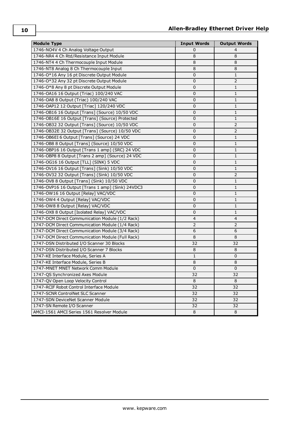| <b>Module Type</b>                               | <b>Input Words</b> | <b>Output Words</b> |
|--------------------------------------------------|--------------------|---------------------|
| 1746-NO4V 4 Ch Analog Voltage Output             | 0                  | $\overline{4}$      |
| 1746-NR4 4 Ch Rtd/Resistance Input Module        | 8                  | 8                   |
| 1746-NT4 4 Ch Thermocouple Input Module          | 8                  | 8                   |
| 1746-NT8 Analog 8 Ch Thermocouple Input          | 8                  | 8                   |
| 1746-O*16 Any 16 pt Discrete Output Module       | 0                  | 1                   |
| 1746-O*32 Any 32 pt Discrete Output Module       | 0                  | $\overline{2}$      |
| 1746-O*8 Any 8 pt Discrete Output Module         | $\mathbf 0$        | 1                   |
| 1746-OA16 16 Output (Triac) 100/240 VAC          | 0                  | $\mathbf{1}$        |
| 1746-OA8 8 Output (Triac) 100/240 VAC            | $\mathbf 0$        | 1                   |
| 1746-OAP12 12 Output [Triac] 120/240 VDC         | $\mathbf 0$        | 1                   |
| 1746-0B16 16 Output [Trans] (Source) 10/50 VDC   | 0                  | 1                   |
| 1746-OB16E 16 Output [Trans] (Source) Protected  | $\mathbf 0$        | 1                   |
| 1746-0B32 32 Output [Trans] (Source) 10/50 VDC   | $\mathbf 0$        | $\overline{2}$      |
| 1746-OB32E 32 Output [Trans] (Source) 10/50 VDC  | $\mathbf 0$        | $\overline{2}$      |
| 1746-OB6EI 6 Output [Trans] (Source) 24 VDC      | $\mathbf 0$        | 1                   |
| 1746-OB8 8 Output [Trans] (Source) 10/50 VDC     | 0                  | 1                   |
| 1746-OBP16 16 Output [Trans 1 amp] (SRC) 24 VDC  | 0                  | 1                   |
| 1746-OBP8 8 Output [Trans 2 amp] (Source) 24 VDC | 0                  | 1                   |
| 1746-OG16 16 Output [TLL] (SINK) 5 VDC           | 0                  | 1                   |
| 1746-OV16 16 Output [Trans] (Sink) 10/50 VDC     | 0                  | 1                   |
| 1746-0V32 32 Output [Trans] (Sink) 10/50 VDC     | 0                  | $\overline{2}$      |
| 1746-OV8 8 Output [Trans] (Sink) 10/50 VDC       | $\mathbf 0$        | 1                   |
| 1746-OVP16 16 Output [Trans 1 amp] (Sink) 24VDC3 | 0                  | 1                   |
| 1746-OW16 16 Output [Relay] VAC/VDC              | $\mathbf 0$        | 1                   |
| 1746-OW4 4 Output [Relay] VAC/VDC                | $\mathbf 0$        | 1                   |
| 1746-OW8 8 Output [Relay] VAC/VDC                | $\mathbf 0$        | 1                   |
| 1746-OX8 8 Output [Isolated Relay] VAC/VDC       | $\mathbf 0$        | $\mathbf{1}$        |
| 1747-DCM Direct Communication Module (1/2 Rack)  | $\overline{4}$     | $\overline{4}$      |
| 1747-DCM Direct Communication Module (1/4 Rack)  | 2                  | $\overline{2}$      |
| 1747-DCM Direct Communication Module (3/4 Rack)  | 6                  | 6                   |
| 1747-DCM Direct Communication Module (Full Rack) | 8                  | 8                   |
| 1747-DSN Distributed I/O Scanner 30 Blocks       | 32                 | 32                  |
| 1747-DSN Distributed I/O Scanner 7 Blocks        | 8                  | 8                   |
| 1747-KE Interface Module, Series A               | 1                  | $\mathbf 0$         |
| 1747-KE Interface Module, Series B               | 8                  | 8                   |
| 1747-MNET MNET Network Comm Module               | U                  | U                   |
| 1747-QS Synchronized Axes Module                 | 32                 | 32                  |
| 1747-QV Open Loop Velocity Control               | 8                  | 8                   |
| 1747-RCIF Robot Control Interface Module         | 32                 | 32                  |
| 1747-SCNR ControlNet SLC Scanner                 | 32                 | 32                  |
| 1747-SDN DeviceNet Scanner Module                | 32                 | 32                  |
| 1747-SN Remote I/O Scanner                       | 32                 | 32                  |
| AMCI-1561 AMCI Series 1561 Resolver Module       | 8                  | 8                   |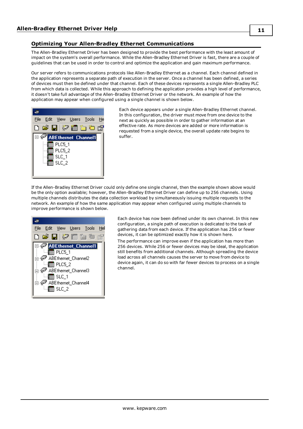#### <span id="page-10-0"></span>**Optimizing Your Allen-Bradley Ethernet Communications**

The Allen-Bradley Ethernet Driver has been designed to provide the best performance with the least amount of impact on the system's overall performance. While the Allen-Bradley Ethernet Driver is fast, there are a couple of guidelines that can be used in order to control and optimize the application and gain maximum performance.

Our server refers to communications protocols like Allen-Bradley Ethernet as a channel. Each channel defined in the application represents a separate path of execution in the server. Once a channel has been defined, a series of devices must then be defined under that channel. Each of these devices represents a single Allen-Bradley PLC from which data is collected. While this approach to defining the application provides a high level of performance, it doesn't take full advantage of the Allen-Bradley Ethernet Driver or the network. An example of how the application may appear when configured using a single channel is shown below.



Each device appears under a single Allen-Bradley Ethernet channel. In this configuration, the driver must move from one device to the next as quickly as possible in order to gather information at an effective rate. As more devices are added or more information is requested from a single device, the overall update rate begins to suffer.

If the Allen-Bradley Ethernet Driver could only define one single channel, then the example shown above would be the only option available; however, the Allen-Bradley Ethernet Driver can define up to 256 channels. Using multiple channels distributes the data collection workload by simultaneously issuing multiple requests to the network. An example of how the same application may appear when configured using multiple channels to improve performance is shown below.

| <u>File Edit View U</u> sers <u>T</u> ools Hel                                                                                                                                                                 |  |
|----------------------------------------------------------------------------------------------------------------------------------------------------------------------------------------------------------------|--|
| D œ`⊟I∛2 mm ‱ ‱                                                                                                                                                                                                |  |
| <b>E ABE</b> thernet_Channel1<br>$\Box$ $\Box$ PLC5_1<br>ABEthernet_Channel2 < קַ<br>$\Box$ PLC5_2<br>ABEthernet_Channel3 المنهيبات<br>ं-- <mark>!</mark> ∏∏ SLC_1<br>ABEthernet_Channel4 هُمَ —<br>≔¶∏∏ SLC_2 |  |

Each device has now been defined under its own channel. In this new configuration, a single path of execution is dedicated to the task of gathering data from each device. If the application has 256 or fewer devices, it can be optimized exactly how it is shown here.

The performance can improve even if the application has more than 256 devices. While 256 or fewer devices may be ideal, the application still benefits from additional channels. Although spreading the device load across all channels causes the server to move from device to device again, it can do so with far fewer devices to process on a single channel.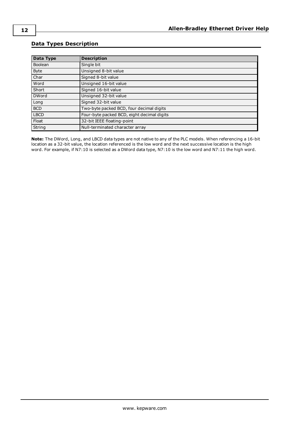#### <span id="page-11-0"></span>**Data Types Description**

<span id="page-11-11"></span><span id="page-11-9"></span><span id="page-11-8"></span><span id="page-11-5"></span><span id="page-11-4"></span><span id="page-11-3"></span><span id="page-11-2"></span>

| <b>Data Type</b> | <b>Description</b>                         |
|------------------|--------------------------------------------|
| Boolean          | Single bit                                 |
| <b>Byte</b>      | Unsigned 8-bit value                       |
| Char             | Signed 8-bit value                         |
| Word             | Unsigned 16-bit value                      |
| Short            | Signed 16-bit value                        |
| <b>DWord</b>     | Unsigned 32-bit value                      |
| Long             | Signed 32-bit value                        |
| <b>BCD</b>       | Two-byte packed BCD, four decimal digits   |
| <b>LBCD</b>      | Four-byte packed BCD, eight decimal digits |
| Float            | 32-bit IEEE floating-point                 |
| String           | Null-terminated character array            |

<span id="page-11-10"></span><span id="page-11-7"></span><span id="page-11-6"></span><span id="page-11-1"></span>**Note:** The DWord, Long, and LBCD data types are not native to any of the PLC models. When referencing a 16-bit location as a 32-bit value, the location referenced is the low word and the next successive location is the high word. For example, if N7:10 is selected as a DWord data type, N7:10 is the low word and N7:11 the high word.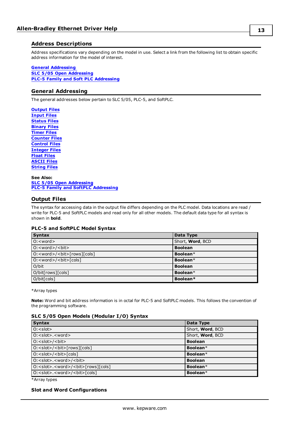#### <span id="page-12-0"></span>**Address Descriptions**

Address specifications vary depending on the model in use. Select a link from the following list to obtain specific address information for the model of interest.

#### **General [Addressing](#page-12-1)**

**SLC 5/05 Open [Addressing](#page-20-1) PLC-5 Family and Soft PLC [Addressing](#page-20-2)**

#### <span id="page-12-1"></span>**General Addressing**

The general addresses below pertain to SLC 5/05, PLC-5, and SoftPLC.

**[Output](#page-12-2) Files [Input](#page-13-0) Files [Status](#page-14-0) Files [Binary](#page-15-0) Files [Timer](#page-16-0) Files [Counter](#page-16-1) Files [Control](#page-17-0) Files [Integer](#page-18-0) Files [Float](#page-18-1) Files [ASCII](#page-19-0) Files [String](#page-19-1) Files**

**See Also: SLC 5/05 Open [Addressing](#page-20-1) PLC-5 Family and SoftPLC [Addressing](#page-20-2)**

#### <span id="page-12-2"></span>**Output Files**

The syntax for accessing data in the output file differs depending on the PLC model. Data locations are read / write for PLC-5 and SoftPLC models and read only for all other models. The default data type for all syntax is shown in **bold**.

#### **PLC-5 and SoftPLC Model Syntax**

| <b>Syntax</b>                        | Data Type        |
|--------------------------------------|------------------|
| $O:$ < word >                        | Short, Word, BCD |
| $O:$ < word > / < bit >              | <b>Boolean</b>   |
| $O:$ < word > / < bit > [rows][cols] | Boolean*         |
| $O:$ < word > / < bit > [cols]       | Boolean*         |
| O/bit                                | <b>Boolean</b>   |
| O/bit[rows][cols]                    | Boolean*         |
| O/bit[cols]                          | Boolean*         |

\*Array types

**Note:** Word and bit address information is in octal for PLC-5 and SoftPLC models. This follows the convention of the programming software.

#### **SLC 5/05 Open Models (Modular I/O) Syntax**

| <b>Syntax</b>                                               | Data Type        |
|-------------------------------------------------------------|------------------|
| $0:$ < slot >                                               | Short, Word, BCD |
| $O: <$ slot>. $<$ word>                                     | Short, Word, BCD |
| $0: <$ slot>/ $<$ bit>                                      | <b>Boolean</b>   |
| O: <slot>/<br/><br/>cols][cols]</slot>                      | Boolean*         |
| 0: <slot>/<b>bit</b>&gt;[cols]</slot>                       | Boolean*         |
| O: <slot>.<word>/<br/><br/>bit&gt;</word></slot>            | <b>Boolean</b>   |
| O: <slot>.<word>/<br/>&gt;bit&gt;[rows][cols]</word></slot> | Boolean $*$      |
| O: < slot>. <word>/<br/><br/>bit&gt;[cols]</word>           | Boolean*         |

\*Array types

#### **Slot and Word Configurations**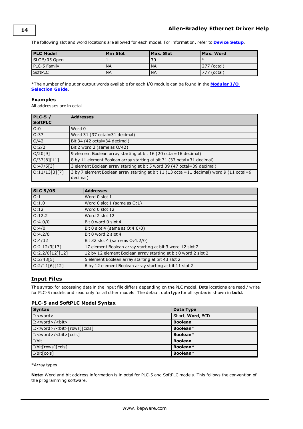The following slot and word locations are allowed for each model. For information, refer to **[Device](#page-4-0) Setup**.

| <b>PLC Model</b> | <b>Min Slot</b> | Max. Slot | Max. Word   |
|------------------|-----------------|-----------|-------------|
| SLC 5/05 Open    |                 | 30        |             |
| PLC-5 Family     | <b>NA</b>       | <b>NA</b> | 277 (octal) |
| <b>SoftPLC</b>   | <b>NA</b>       | ' NA      | 777 (octal) |

\*The number of input or output words available for each I/O module can be found in the **[Modular](#page-8-0) I/O [Selection](#page-8-0) Guide**.

#### **Examples**

All addresses are in octal.

| <b>PLC-5/</b><br><b>SoftPLC</b> | <b>Addresses</b>                                                                                     |
|---------------------------------|------------------------------------------------------------------------------------------------------|
| O:0                             | Word 0                                                                                               |
| O:37                            | Word 31 (37 octal=31 decimal)                                                                        |
| O/42                            | Bit 34 (42 octal=34 decimal)                                                                         |
| O:2/2                           | Bit 2 word 2 (same as O/42)                                                                          |
| O/20[9]                         | 9 element Boolean array starting at bit 16 (20 octal=16 decimal)                                     |
| 0/37[8][11]                     | 8 by 11 element Boolean array starting at bit 31 (37 octal=31 decimal)                               |
| 0:47/5[3]                       | 3 element Boolean array starting at bit 5 word 39 (47 octal=39 decimal)                              |
| 0:11/13[3][7]                   | 3 by 7 element Boolean array starting at bit 11 (13 octal=11 decimal) word 9 (11 octal=9<br>decimal) |

| <b>SLC 5/05</b> | <b>Addresses</b>                                               |
|-----------------|----------------------------------------------------------------|
| O:1             | Word 0 slot 1                                                  |
| O:1.0           | Word 0 slot 1 (same as O:1)                                    |
| O:12            | Word 0 slot 12                                                 |
| O:12.2          | Word 2 slot 12                                                 |
| O:4.0/0         | Bit 0 word 0 slot 4                                            |
| O:4/0           | Bit 0 slot 4 (same as $O:4.0/0$ )                              |
| O:4.2/0         | Bit 0 word 2 slot 4                                            |
| O:4/32          | Bit 32 slot 4 (same as 0:4.2/0)                                |
| 0:2.12/3[17]    | 17 element Boolean array starting at bit 3 word 12 slot 2      |
| 0:2.2/0[12][12] | 12 by 12 element Boolean array starting at bit 0 word 2 slot 2 |
| 0:2/43[5]       | 5 element Boolean array starting at bit 43 slot 2              |
| 0:2/11[6][12]   | 6 by 12 element Boolean array starting at bit 11 slot 2        |

#### <span id="page-13-0"></span>**Input Files**

The syntax for accessing data in the input file differs depending on the PLC model. Data locations are read / write for PLC-5 models and read only for all other models. The default data type for all syntax is shown in **bold**.

#### **PLC-5 and SoftPLC Model Syntax**

| <b>Syntax</b>                            | Data Type        |
|------------------------------------------|------------------|
| $I: <$ word $>$                          | Short, Word, BCD |
| I: <word>/<bit></bit></word>             | <b>Boolean</b>   |
| I: <word>/<blt>[rows][cols]</blt></word> | Boolean*         |
| $I: /<$ bit $>[cols]$                    | Boolean*         |
| I/bit                                    | <b>Boolean</b>   |
| I/bit[rows][cols]                        | Boolean*         |
| I/bit[cols]                              | Boolean*         |

\*Array types

**Note:** Word and bit address information is in octal for PLC-5 and SoftPLC models. This follows the convention of the programming software.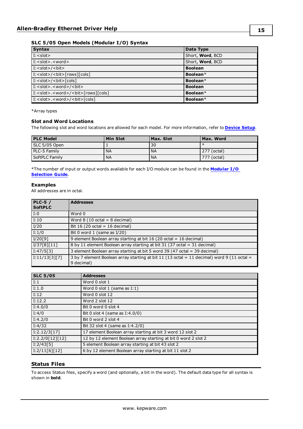#### **SLC 5/05 Open Models (Modular I/O) Syntax**

| <b>Syntax</b>                                     | Data Type            |
|---------------------------------------------------|----------------------|
| $\vert$ I: $\langle$ slot $\rangle$               | Short, Word, BCD     |
| I: <slot>.<word></word></slot>                    | Short, Word, BCD     |
| $\overline{I}$ : <slot>/<br/><br/></slot>         | <b>Boolean</b>       |
| $\vert$ I: <slot>/<br/><br/>cols]<br/></slot>     | Boolean*             |
| $\left[$ I: <slot>/<br/><br/>cols]</slot>         | Boolean <sup>*</sup> |
| I: < slot>. <word>/<bit></bit></word>             | <b>Boolean</b>       |
| I: < slot>. <word>/<blt>[rows][cols]</blt></word> | Boolean $*$          |
| I: <slot>.<word>/<bit>[cols]</bit></word></slot>  | Boolean*             |

\*Array types

#### **Slot and Word Locations**

The following slot and word locations are allowed for each model. For more information, refer to **[Device](#page-4-0) Setup**.

| <b>PLC Model</b> | <b>Min Slot</b> | Max. Slot | Max. Word   |
|------------------|-----------------|-----------|-------------|
| SLC 5/05 Open    |                 | 30        |             |
| PLC-5 Family     | <b>NA</b>       | <b>NA</b> | 277 (octal) |
| SoftPLC Family   | <b>NA</b>       | <b>NA</b> | 777 (octal) |

\*The number of input or output words available for each I/O module can be found in the **[Modular](#page-8-0) I/O [Selection](#page-8-0) Guide**.

#### **Examples**

All addresses are in octal.

| <b>PLC-5 /</b> | <b>Addresses</b>                                                                                         |
|----------------|----------------------------------------------------------------------------------------------------------|
| <b>SoftPLC</b> |                                                                                                          |
| l I:0          | Word 0                                                                                                   |
| I:10           | Word $8(10 \text{ octal} = 8 \text{ decimal})$                                                           |
| I/20           | Bit 16 (20 octal = 16 decimal)                                                                           |
| I:1/0          | Bit 0 word 1 (same as $I/20$ )                                                                           |
| I/20[9]        | 9 element Boolean array starting at bit 16 (20 octal = 16 decimal)                                       |
| 1/37[8][11]    | 8 by 11 element Boolean array starting at bit 31 (37 octal = 31 decimal)                                 |
| I:47/5[3]      | 3 element Boolean array starting at bit 5 word 39 (47 octal = 39 decimal)                                |
| [I:11/13[3][7] | 3 by 7 element Boolean array starting at bit 11 (13 octal = 11 decimal) word 9 (11 octal =<br>9 decimal) |

| <b>SLC 5/05</b>           | <b>Addresses</b>                                               |
|---------------------------|----------------------------------------------------------------|
| $\vert$ I: 1              | Word 0 slot 1                                                  |
| I:1.0                     | Word $0$ slot $1$ (same as $I:1$ )                             |
| I:12                      | Word 0 slot 12                                                 |
| I:12.2                    | Word 2 slot 12                                                 |
| I:4.0/0                   | Bit 0 word 0 slot 4                                            |
| I:4/0                     | Bit 0 slot 4 (same as $I:4.0/0$ )                              |
| I:4.2/0                   | Bit 0 word 2 slot 4                                            |
| I:4/32                    | Bit 32 slot 4 (same as I:4.2/0)                                |
| [I:2.12/3[17]             | 17 element Boolean array starting at bit 3 word 12 slot 2      |
| $\boxed{1:2.2/0[12][12]}$ | 12 by 12 element Boolean array starting at bit 0 word 2 slot 2 |
| 1:2/43[5]                 | 5 element Boolean array starting at bit 43 slot 2              |
| [I:2/11[6][12]            | 6 by 12 element Boolean array starting at bit 11 slot 2        |

#### <span id="page-14-0"></span>**Status Files**

To access Status files, specify a word (and optionally, a bit in the word). The default data type for all syntax is shown in **bold**.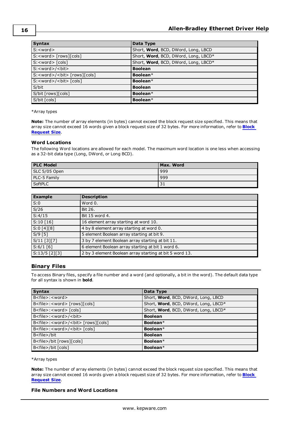| <b>Syntax</b>                          | Data Type                            |
|----------------------------------------|--------------------------------------|
| S: <word></word>                       | Short, Word, BCD, DWord, Long, LBCD  |
| S: <word> [rows][cols]</word>          | Short, Word, BCD, DWord, Long, LBCD* |
| $S: <$ word $>$ $[c]$                  | Short, Word, BCD, DWord, Long, LBCD* |
| S: <word>/<br/><br/></word>            | <b>Boolean</b>                       |
| S: <word>/<br/><br/>cols][cols]</word> | Boolean $*$                          |
| S: <word>/<blt> [cols]</blt></word>    | Boolean*                             |
| S/bit                                  | <b>Boolean</b>                       |
| S/bit [rows][cols]                     | Boolean*                             |
| S/bit [cols]                           | Boolean*                             |

#### \*Array types

**Note:** The number of array elements (in bytes) cannot exceed the block request size specified. This means that array size cannot exceed 16 words given a block request size of 32 bytes. For more information, refer to **[Block](#page-5-1) [Request](#page-5-1) Size**.

#### **Word Locations**

The following Word locations are allowed for each model. The maximum word location is one less when accessing as a 32-bit data type (Long, DWord, or Long BCD).

| <b>PLC Model</b> | Max. Word |
|------------------|-----------|
| SLC 5/05 Open    | 999       |
| PLC-5 Family     | 999       |
| <b>SoftPLC</b>   | 31        |

| <b>Example</b>  | <b>Description</b>                                      |
|-----------------|---------------------------------------------------------|
| S:0             | Word 0.                                                 |
| S/26            | Bit 26.                                                 |
| S:4/15          | Bit 15 word 4.                                          |
| S:10[16]        | 16 element array starting at word 10.                   |
| S:0[4][8]       | 4 by 8 element array starting at word 0.                |
| $S/9$ [5]       | 5 element Boolean array starting at bit 9.              |
| [S/11 [3][7]    | 3 by 7 element Boolean array starting at bit 11.        |
| S:6/1[6]        | 6 element Boolean array starting at bit 1 word 6.       |
| $S:13/5$ [2][3] | 2 by 3 element Boolean array starting at bit 5 word 13. |

#### <span id="page-15-0"></span>**Binary Files**

To access Binary files, specify a file number and a word (and optionally, a bit in the word). The default data type for all syntax is shown in **bold**.

| <b>Syntax</b>                                                | Data Type                            |
|--------------------------------------------------------------|--------------------------------------|
| $B <$ file $>$ : $<$ word $>$                                | Short, Word, BCD, DWord, Long, LBCD  |
| B <file>:<word>[rows][cols]</word></file>                    | Short, Word, BCD, DWord, Long, LBCD* |
| B <file>:<word>[cols]</word></file>                          | Short, Word, BCD, DWord, Long, LBCD* |
| B <file>:<word>/<bit></bit></word></file>                    | <b>Boolean</b>                       |
| B <file>:<word>/<br/><br/>bit&gt; [rows][cols]</word></file> | Boolean*                             |
| B <file>:<word>/<bit>[cols]</bit></word></file>              | Boolean*                             |
| B <file>/bit</file>                                          | <b>Boolean</b>                       |
| B <file>/bit [rows][cols]</file>                             | Boolean*                             |
| B <file>/bit [cols]</file>                                   | Boolean*                             |

#### \*Array types

**Note:** The number of array elements (in bytes) cannot exceed the block request size specified. This means that array size cannot exceed 16 words given a block request size of 32 bytes. For more information, refer to **[Block](#page-5-1) [Request](#page-5-1) Size**.

#### **File Numbers and Word Locations**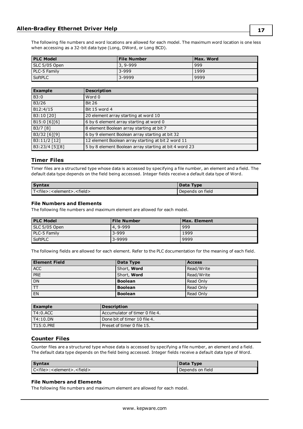The following file numbers and word locations are allowed for each model. The maximum word location is one less when accessing as a 32-bit data type (Long, DWord, or Long BCD).

| <b>PLC Model</b> | <b>File Number</b> | Max. Word |
|------------------|--------------------|-----------|
| SLC 5/05 Open    | '3, 9-999          | 999       |
| PLC-5 Family     | $3 - 999$          | 1999      |
| <b>SoftPLC</b>   | 3-9999             | 9999      |

| <b>Example</b> | <b>Description</b>                                     |
|----------------|--------------------------------------------------------|
| B3:0           | Word 0                                                 |
| B3/26          | <b>Bit 26</b>                                          |
| B12:4/15       | Bit 15 word 4                                          |
| B3:10 [20]     | 20 element array starting at word 10                   |
| B15:0 [6][6]   | 6 by 6 element array starting at word 0                |
| B3/7 [8]       | 8 element Boolean array starting at bit 7              |
| B3/32 [6][9]   | 6 by 9 element Boolean array starting at bit 32        |
| B3:11/2 [12]   | 12 element Boolean array starting at bit 2 word 11     |
| B3:23/4 [5][8] | 5 by 8 element Boolean array starting at bit 4 word 23 |

#### <span id="page-16-0"></span>**Timer Files**

Timer files are a structured type whose data is accessed by specifying a file number, an element and a field. The default data type depends on the field being accessed. Integer fields receive a default data type of Word.

| <b>Syntax</b>                                       | Data Type        |
|-----------------------------------------------------|------------------|
| T <file>:<element>.<field></field></element></file> | Depends on field |

#### **File Numbers and Elements**

The following file numbers and maximum element are allowed for each model.

| <b>PLC Model</b> | <b>File Number</b> | Max. Element |
|------------------|--------------------|--------------|
| SLC 5/05 Open    | 4, 9-999           | 999          |
| PLC-5 Family     | $3 - 999$          | 1999         |
| SoftPLC          | 3-9999             | 9999         |

The following fields are allowed for each element. Refer to the PLC documentation for the meaning of each field.

| <b>Element Field</b> | Data Type          | <b>Access</b> |
|----------------------|--------------------|---------------|
| <b>ACC</b>           | Short, Word        | Read/Write    |
| <b>PRE</b>           | Short, <b>Word</b> | Read/Write    |
| <b>DN</b>            | <b>Boolean</b>     | Read Only     |
| TT                   | <b>Boolean</b>     | Read Only     |
| EN                   | <b>Boolean</b>     | Read Only     |

| <b>Example</b> | Description                     |
|----------------|---------------------------------|
| 1T4:0.ACC      | LAccumulator of timer 0 file 4. |
| TT4:10.DN      | l Done bit of timer 10 file 4.  |
| IT15:0.PRE     | Preset of timer 0 file 15.      |

#### <span id="page-16-1"></span>**Counter Files**

Counter files are a structured type whose data is accessed by specifying a file number, an element and a field. The default data type depends on the field being accessed. Integer fields receive a default data type of Word.

| <b>Syntax</b>                  | Data Type        |
|--------------------------------|------------------|
| $Cfile$ : < element>. < field> | Depends on field |

#### **File Numbers and Elements**

The following file numbers and maximum element are allowed for each model.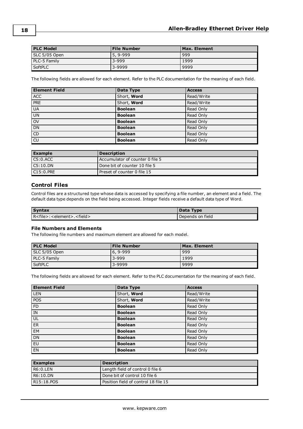| <b>PLC Model</b> | <b>File Number</b> | Max. Element |
|------------------|--------------------|--------------|
| SLC 5/05 Open    | $5.9 - 999$        | 999          |
| PLC-5 Family     | $3 - 999$          | 1999         |
| SoftPLC          | 3-9999             | 9999         |

The following fields are allowed for each element. Refer to the PLC documentation for the meaning of each field.

| <b>Element Field</b> | Data Type      | <b>Access</b> |
|----------------------|----------------|---------------|
| <b>ACC</b>           | Short, Word    | Read/Write    |
| PRE                  | Short, Word    | Read/Write    |
| <b>UA</b>            | <b>Boolean</b> | Read Only     |
| UN                   | <b>Boolean</b> | Read Only     |
| <b>OV</b>            | <b>Boolean</b> | Read Only     |
| DN                   | <b>Boolean</b> | Read Only     |
| $\overline{CD}$      | <b>Boolean</b> | Read Only     |
| $\overline{c}$       | <b>Boolean</b> | Read Only     |

| Example     | Description                          |
|-------------|--------------------------------------|
| C5:0.ACC    | Accumulator of counter 0 file 5      |
| $C5:10.$ DN | Done bit of counter 10 file 5        |
| C15:0.PRE   | <b>l</b> Preset of counter 0 file 15 |

#### <span id="page-17-0"></span>**Control Files**

Control files are a structured type whose data is accessed by specifying a file number, an element and a field. The default data type depends on the field being accessed. Integer fields receive a default data type of Word.

| <b>Syntax</b>                                       | Data Type        |
|-----------------------------------------------------|------------------|
| R <file>:<element>.<field></field></element></file> | Depends on field |

#### **File Numbers and Elements**

The following file numbers and maximum element are allowed for each model.

| <b>PLC Model</b> | <b>File Number</b> | Max. Element |
|------------------|--------------------|--------------|
| SLC 5/05 Open    | $6.9 - 999$        | 999          |
| PLC-5 Family     | 3-999              | 1999         |
| SoftPLC          | 3-9999             | 9999         |

| <b>Element Field</b> | Data Type      | <b>Access</b> |
|----------------------|----------------|---------------|
| <b>LEN</b>           | Short, Word    | Read/Write    |
| <b>POS</b>           | Short, Word    | Read/Write    |
| FD                   | <b>Boolean</b> | Read Only     |
| IN                   | <b>Boolean</b> | Read Only     |
| UL                   | <b>Boolean</b> | Read Only     |
| ER                   | <b>Boolean</b> | Read Only     |
| <b>EM</b>            | <b>Boolean</b> | Read Only     |
| <b>DN</b>            | <b>Boolean</b> | Read Only     |
| EU                   | <b>Boolean</b> | Read Only     |
| <b>EN</b>            | <b>Boolean</b> | Read Only     |

| <b>Examples</b> | <b>Description</b>                   |
|-----------------|--------------------------------------|
| R6:0.LEN        | Length field of control 0 file 6     |
| R6:10.DN        | Done bit of control 10 file 6        |
| R15:18.POS      | Position field of control 18 file 15 |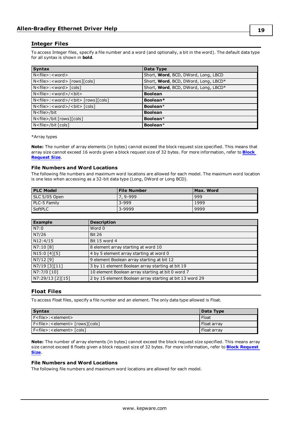#### <span id="page-18-0"></span>**Integer Files**

To access Integer files, specify a file number and a word (and optionally, a bit in the word). The default data type for all syntax is shown in **bold**.

| <b>Syntax</b>                                          | Data Type                            |
|--------------------------------------------------------|--------------------------------------|
| $N$ < file > : < word >                                | Short, Word, BCD, DWord, Long, LBCD  |
| N <file>:<word> [rows][cols]</word></file>             | Short, Word, BCD, DWord, Long, LBCD* |
| $N$ < file > : < word > $\lceil \cosh \rceil$          | Short, Word, BCD, DWord, Long, LBCD* |
| N <file>:<word>/<bit></bit></word></file>              | <b>Boolean</b>                       |
| N <file>:<word>/<bit> [rows][cols]</bit></word></file> | Boolean*                             |
| N <file>:<word>/<bt> [cols]</bt></word></file>         | Boolean*                             |
| N <file>/bit</file>                                    | <b>Boolean</b>                       |
| N <file>/bit [rows][cols]</file>                       | Boolean*                             |
| N <file>/bit [cols]</file>                             | Boolean*                             |

\*Array types

**Note:** The number of array elements (in bytes) cannot exceed the block request size specified. This means that array size cannot exceed 16 words given a block request size of 32 bytes. For more information, refer to **[Block](#page-5-1) [Request](#page-5-1) Size**.

#### **File Numbers and Word Locations**

The following file numbers and maximum word locations are allowed for each model. The maximum word location is one less when accessing as a 32-bit data type (Long, DWord or Long BCD).

| <b>PLC Model</b> | <b>File Number</b> | Max. Word |
|------------------|--------------------|-----------|
| SLC 5/05 Open    | 7, 9-999           | 999       |
| PLC-5 Family     | $3 - 999$          | 1999      |
| SoftPLC          | 3-9999             | 9999      |

| <b>Example</b>   | <b>Description</b>                                       |
|------------------|----------------------------------------------------------|
| N7:0             | Word 0                                                   |
| N7/26            | <b>Bit 26</b>                                            |
| N12:4/15         | Bit 15 word 4                                            |
| N7:10 [8]        | 8 element array starting at word 10                      |
| N15:0 [4][5]     | 4 by 5 element array starting at word 0                  |
| N7/12 [9]        | 9 element Boolean array starting at bit 12               |
| N7/19 [3][11]    | 3 by 11 element Boolean array starting at bit 19         |
| N7:7/0 [10]      | 10 element Boolean array starting at bit 0 word 7        |
| N7:29/13 [2][15] | 2 by 15 element Boolean array starting at bit 13 word 29 |

#### <span id="page-18-1"></span>**Float Files**

To access Float files, specify a file number and an element. The only data type allowed is Float.

| <b>Syntax</b>                                    | Data Type     |
|--------------------------------------------------|---------------|
| F <file>: <element></element></file>             | Float         |
| F <file>:<element> [rows][cols]</element></file> | l Float arrav |
| F <file>:<element> [cols]</element></file>       | Float arrav   |

**Note:** The number of array elements (in bytes) cannot exceed the block request size specified. This means array size cannot exceed 8 floats given a block request size of 32 bytes. For more information, refer to **Block [Request](#page-5-1) [Size](#page-5-1)**.

#### **File Numbers and Word Locations**

The following file numbers and maximum word locations are allowed for each model.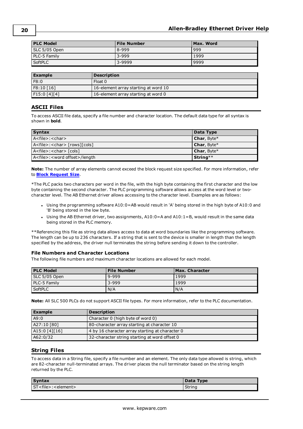| <b>PLC Model</b> | <b>File Number</b> | Max. Word |
|------------------|--------------------|-----------|
| SLC 5/05 Open    | 8-999              | 999       |
| PLC-5 Family     | $3 - 999$          | 1999      |
| SoftPLC          | 3-9999             | 9999      |

| <b>Example</b> | <b>Description</b>                   |
|----------------|--------------------------------------|
| F8:0           | Float 0                              |
| F8:10 [16]     | 16-element array starting at word 10 |
| F15:0 [4][4]   | 16-element array starting at word 0  |

#### <span id="page-19-0"></span>**ASCII Files**

To access ASCII file data, specify a file number and character location. The default data type for all syntax is shown in **bold**.

| <b>Syntax</b>                                  | Data Type          |
|------------------------------------------------|--------------------|
| $A <$ file>: $<$ char>                         | <b>Char, Byte*</b> |
| A <file>:<char> [rows][cols]</char></file>     | <b>Char, Byte*</b> |
| A <file>:<char> [cols]</char></file>           | Char, Byte*        |
| A <file>:<word offset="">/length</word></file> | $String**$         |

**Note:** The number of array elements cannot exceed the block request size specified. For more information, refer to **Block [Request](#page-5-1) Size**.

\*The PLC packs two characters per word in the file, with the high byte containing the first character and the low byte containing the second character. The PLC programming software allows access at the word level or twocharacter level. The AB Ethernet driver allows accessing to the character level. Examples are as follows:

- Using the programming software A10:0=AB would result in 'A' being stored in the high byte of A10:0 and 'B' being stored in the low byte.
- <sup>l</sup> Using the AB Ethernet driver, two assignments, A10:0=A and A10:1=B, would result in the same data being stored in the PLC memory.

\*\*Referencing this file as string data allows access to data at word boundaries like the programming software. The length can be up to 236 characters. If a string that is sent to the device is smaller in length than the length specified by the address, the driver null terminates the string before sending it down to the controller.

#### **File Numbers and Character Locations**

The following file numbers and maximum character locations are allowed for each model.

| <b>PLC Model</b> | <b>File Number</b> | <b>Max. Character</b> |
|------------------|--------------------|-----------------------|
| SLC 5/05 Open    | 9-999              | 1999                  |
| PLC-5 Family     | $3 - 999$          | 1999                  |
| SoftPLC          | N/A                | N/A                   |

**Note:** All SLC 500 PLCs do not support ASCII file types. For more information, refer to the PLC documentation.

| Example       | <b>Description</b>                              |
|---------------|-------------------------------------------------|
| A9:0          | Character 0 (high byte of word 0)               |
| A27:10 [80]   | 80-character array starting at character 10     |
| A15:0 [4][16] | 4 by 16 character array starting at character 0 |
| A62:0/32      | 32-character string starting at word offset 0   |

#### <span id="page-19-1"></span>**String Files**

To access data in a String file, specify a file number and an element. The only data type allowed is string, which are 82-character null-terminated arrays. The driver places the null terminator based on the string length returned by the PLC.

| <b>Syntax</b>                        | Data Type |
|--------------------------------------|-----------|
| ST <file>:<element></element></file> | String    |

**20**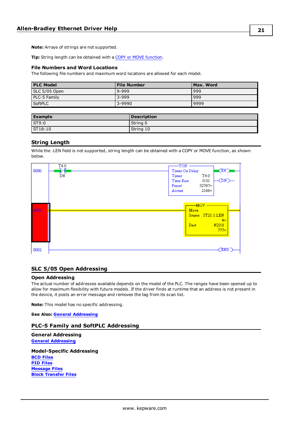**Note:** Arrays of strings are not supported.

**Tip:** String length can be obtained with a COPY or MOVE [function.](#page-20-0)

#### **File Numbers and Word Locations**

The following file numbers and maximum word locations are allowed for each model.

| <b>PLC Model</b> | <b>File Number</b> | Max. Word |
|------------------|--------------------|-----------|
| SLC 5/05 Open    | $9 - 999$          | 999       |
| PLC-5 Family     | $3 - 999$          | 999       |
| SoftPLC          | 3-9990             | 9999      |

| <b>Example</b>    | <b>Description</b> |
|-------------------|--------------------|
| S <sub>T9:0</sub> | String 0           |
| $S$ T18:10        | String 10          |

#### <span id="page-20-0"></span>**String Length**

While the .LEN field is not supported, string length can be obtained with a COPY or MOVE function, as shown below.



#### <span id="page-20-1"></span>**SLC 5/05 Open Addressing**

#### **Open Addressing**

The actual number of addresses available depends on the model of the PLC. The ranges have been opened up to allow for maximum flexibility with future models. If the driver finds at runtime that an address is not present in the device, it posts an error message and removes the tag from its scan list.

**Note:** This model has no specific addressing.

<span id="page-20-2"></span>**See Also: General [Addressing](#page-12-1)**

#### **PLC-5 Family and SoftPLC Addressing**

**General Addressing General [Addressing](#page-12-1)**

**Model-Specific Addressing BCD [Files](#page-21-0) PID [Files](#page-21-1) [Message](#page-22-0) Files Block [Transfer](#page-23-0) Files**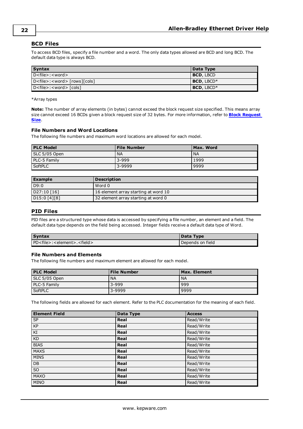#### <span id="page-21-0"></span>**BCD Files**

To access BCD files, specify a file number and a word. The only data types allowed are BCD and long BCD. The default data type is always BCD.

| <b>Syntax</b>                                             | Data Type        |
|-----------------------------------------------------------|------------------|
| $D$ <file>: &lt; word &gt;</file>                         | <b>BCD, LBCD</b> |
| $D <$ file $>$ : <word<math>&gt; [rows][cols]</word<math> | BCD, LBCD*       |
| D <file>:<word> [cols]</word></file>                      | BCD, LBCD*       |

\*Array types

**Note:** The number of array elements (in bytes) cannot exceed the block request size specified. This means array size cannot exceed 16 BCDs given a block request size of 32 bytes. For more information, refer to **Block [Request](#page-5-1) [Size](#page-5-1)**.

#### **File Numbers and Word Locations**

The following file numbers and maximum word locations are allowed for each model.

| <b>PLC Model</b> | <b>File Number</b> | Max. Word |
|------------------|--------------------|-----------|
| SLC 5/05 Open    | <b>NA</b>          | l NA      |
| PLC-5 Family     | $3 - 999$          | 1999      |
| SoftPLC          | 3-9999             | 9999      |

| <b>Example</b> | <b>Description</b>                   |
|----------------|--------------------------------------|
| D9:0           | Word 0                               |
| D27:10 [16]    | 16 element array starting at word 10 |
| DI5:0[4][8]    | 32 element array starting at word 0  |

#### <span id="page-21-1"></span>**PID Files**

PID files are a structured type whose data is accessed by specifying a file number, an element and a field. The default data type depends on the field being accessed. Integer fields receive a default data type of Word.

| <b>Syntax</b>                                        | Data Type        |
|------------------------------------------------------|------------------|
| PD <file>:<element>.<field></field></element></file> | Depends on field |

#### **File Numbers and Elements**

The following file numbers and maximum element are allowed for each model.

| <b>PLC Model</b> | File Number | Max. Element |
|------------------|-------------|--------------|
| SLC 5/05 Open    | <b>NA</b>   | <b>NA</b>    |
| PLC-5 Family     | $3 - 999$   | 999          |
| SoftPLC          | 3-9999      | 9999         |

| <b>Element Field</b> | Data Type | <b>Access</b> |
|----------------------|-----------|---------------|
| <b>SP</b>            | Real      | Read/Write    |
| <b>KP</b>            | Real      | Read/Write    |
| KI                   | Real      | Read/Write    |
| <b>KD</b>            | Real      | Read/Write    |
| <b>BIAS</b>          | Real      | Read/Write    |
| <b>MAXS</b>          | Real      | Read/Write    |
| <b>MINS</b>          | Real      | Read/Write    |
| <b>DB</b>            | Real      | Read/Write    |
| SO                   | Real      | Read/Write    |
| <b>MAXO</b>          | Real      | Read/Write    |
| <b>MINO</b>          | Real      | Read/Write    |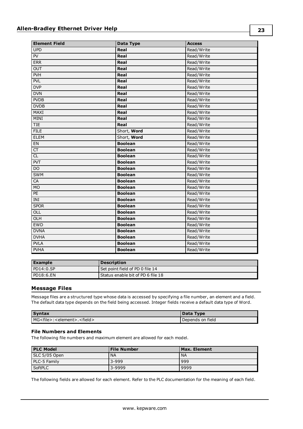| <b>Element Field</b> | <b>Data Type</b> | <b>Access</b> |
|----------------------|------------------|---------------|
| <b>UPD</b>           | Real             | Read/Write    |
| PV                   | Real             | Read/Write    |
| <b>ERR</b>           | Real             | Read/Write    |
| OUT                  | Real             | Read/Write    |
| PVH                  | Real             | Read/Write    |
| <b>PVL</b>           | Real             | Read/Write    |
| <b>DVP</b>           | Real             | Read/Write    |
| <b>DVN</b>           | Real             | Read/Write    |
| <b>PVDB</b>          | Real             | Read/Write    |
| <b>DVDB</b>          | Real             | Read/Write    |
| MAXI                 | Real             | Read/Write    |
| <b>MINI</b>          | Real             | Read/Write    |
| <b>TIE</b>           | Real             | Read/Write    |
| <b>FILE</b>          | Short, Word      | Read/Write    |
| <b>ELEM</b>          | Short, Word      | Read/Write    |
| ${\sf EN}$           | <b>Boolean</b>   | Read/Write    |
| CT                   | <b>Boolean</b>   | Read/Write    |
| CL                   | <b>Boolean</b>   | Read/Write    |
| <b>PVT</b>           | <b>Boolean</b>   | Read/Write    |
| <b>DO</b>            | <b>Boolean</b>   | Read/Write    |
| <b>SWM</b>           | <b>Boolean</b>   | Read/Write    |
| CA                   | <b>Boolean</b>   | Read/Write    |
| M <sub>O</sub>       | <b>Boolean</b>   | Read/Write    |
| PE                   | <b>Boolean</b>   | Read/Write    |
| INI                  | <b>Boolean</b>   | Read/Write    |
| <b>SPOR</b>          | <b>Boolean</b>   | Read/Write    |
| OLL                  | <b>Boolean</b>   | Read/Write    |
| OLH                  | <b>Boolean</b>   | Read/Write    |
| <b>EWD</b>           | <b>Boolean</b>   | Read/Write    |
| <b>DVNA</b>          | <b>Boolean</b>   | Read/Write    |
| <b>DVHA</b>          | <b>Boolean</b>   | Read/Write    |
| <b>PVLA</b>          | <b>Boolean</b>   | Read/Write    |
| <b>PVHA</b>          | <b>Boolean</b>   | Read/Write    |

| Example   | <b>Description</b>                |
|-----------|-----------------------------------|
| PDI4:0.SP | Set point field of PD 0 file 14   |
| PD18:6.EN | Status enable bit of PD 6 file 18 |

#### <span id="page-22-0"></span>**Message Files**

Message files are a structured type whose data is accessed by specifying a file number, an element and a field. The default data type depends on the field being accessed. Integer fields receive a default data type of Word.

| <b>Syntax</b>                                        | Data Type        |
|------------------------------------------------------|------------------|
| MG <file>:<element>.<field></field></element></file> | Depends on field |

#### **File Numbers and Elements**

The following file numbers and maximum element are allowed for each model.

| <b>PLC Model</b> | <b>File Number</b> | Max. Element |
|------------------|--------------------|--------------|
| SLC 5/05 Open    | <b>NA</b>          | ' NA         |
| PLC-5 Family     | $3 - 999$          | 999          |
| <b>SoftPLC</b>   | 3-9999             | 9999         |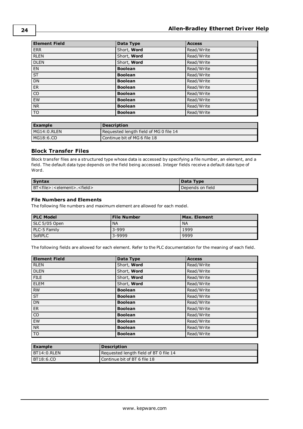| <b>Element Field</b>     | Data Type      | <b>Access</b> |
|--------------------------|----------------|---------------|
| <b>ERR</b>               | Short, Word    | Read/Write    |
| <b>RLEN</b>              | Short, Word    | Read/Write    |
| <b>DLEN</b>              | Short, Word    | Read/Write    |
| EN                       | <b>Boolean</b> | Read/Write    |
| $\overline{\mathsf{ST}}$ | <b>Boolean</b> | Read/Write    |
| DN                       | <b>Boolean</b> | Read/Write    |
| ER                       | <b>Boolean</b> | Read/Write    |
| $\overline{co}$          | <b>Boolean</b> | Read/Write    |
| EW                       | <b>Boolean</b> | Read/Write    |
| <b>NR</b>                | <b>Boolean</b> | Read/Write    |
| $\overline{\text{TO}}$   | <b>Boolean</b> | Read/Write    |

| <b>Example</b> | <b>Description</b>                     |
|----------------|----------------------------------------|
| $MGI4:0.$ RLEN | Requested length field of MG 0 file 14 |
| MG18:6.CO      | Continue bit of MG 6 file 18           |

#### <span id="page-23-0"></span>**Block Transfer Files**

Block transfer files are a structured type whose data is accessed by specifying a file number, an element, and a field. The default data type depends on the field being accessed. Integer fields receive a default data type of Word.

| <b>Syntax</b>                                        | Data Type        |
|------------------------------------------------------|------------------|
| BT <file>:<element>.<field></field></element></file> | Depends on field |

#### **File Numbers and Elements**

The following file numbers and maximum element are allowed for each model.

| <b>PLC Model</b> | <b>File Number</b> | Max. Element |
|------------------|--------------------|--------------|
| SLC 5/05 Open    | <b>NA</b>          | <b>NA</b>    |
| PLC-5 Family     | $3 - 999$          | 1999         |
| SoftPLC          | 3-9999             | 9999         |

| <b>Element Field</b> | Data Type      | <b>Access</b> |
|----------------------|----------------|---------------|
| <b>RLEN</b>          | Short, Word    | Read/Write    |
| <b>DLEN</b>          | Short, Word    | Read/Write    |
| <b>FILE</b>          | Short, Word    | Read/Write    |
| <b>ELEM</b>          | Short, Word    | Read/Write    |
| <b>RW</b>            | <b>Boolean</b> | Read/Write    |
| <b>ST</b>            | <b>Boolean</b> | Read/Write    |
| <b>DN</b>            | <b>Boolean</b> | Read/Write    |
| <b>ER</b>            | <b>Boolean</b> | Read/Write    |
| CO                   | <b>Boolean</b> | Read/Write    |
| EW                   | <b>Boolean</b> | Read/Write    |
| <b>NR</b>            | <b>Boolean</b> | Read/Write    |
| TO <sub>1</sub>      | <b>Boolean</b> | Read/Write    |

| l Example        | <b>Description</b>                     |
|------------------|----------------------------------------|
| BT14:0.RLEN      | Requested length field of BT 0 file 14 |
| <b>BT18:6.CO</b> | Continue bit of BT 6 file 18           |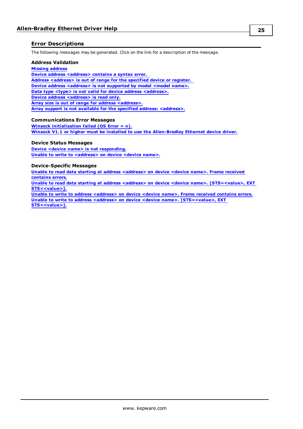#### <span id="page-24-0"></span>**Error Descriptions**

The following messages may be generated. Click on the link for a description of the message.

#### **Address Validation**

#### **Missing [address](#page-26-2)**

**Device address [<address>](#page-25-4) contains a syntax error. Address [<address>](#page-25-0) is out of range for the specified device or register. Device** address [<address>](#page-25-5) is not supported by model <model name>. **Data type <type> is not valid for device address [<address>.](#page-25-3) Device address [<address>](#page-26-0)** is read only. **Array size is out of range for address [<address>.](#page-25-1) Array support is not available for the specified address: [<address>.](#page-25-2)**

#### **Communications Error Messages**

**Winsock [initialization](#page-28-2) failed (OS Error = n). Winsock V1.1 or higher must be installed to use the [Allen-Bradley](#page-29-0) Ethernet device driver.**

#### **Device Status Messages**

**Device <device name> is not [responding.](#page-26-1) Unable to write to [<address>](#page-27-1) on device <device name>.**

#### **Device-Specific Messages**

**Unable to read data starting at address [<address>](#page-26-3) on device <device name>. Frame received [contains](#page-26-3) errors.**

**Unable to read data starting at address <address> on device <device name>. [\[STS=<value>,](#page-27-0) EXT [STS=<value>\].](#page-27-0)**

**Unable to write to address [<address>](#page-28-0) on device <device name>. Frame received contains errors. Unable to write to address <address> on device <device name>. [\[STS=<value>,](#page-28-1) EXT [STS=<value>\].](#page-28-1)**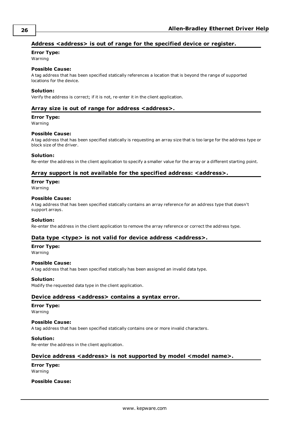#### <span id="page-25-0"></span>**Address <address> is out of range for the specified device or register.**

#### **Error Type:**

Warning

#### **Possible Cause:**

A tag address that has been specified statically references a location that is beyond the range of supported locations for the device.

#### **Solution:**

<span id="page-25-1"></span>Verify the address is correct; if it is not, re-enter it in the client application.

#### **Array size is out of range for address <address>.**

#### **Error Type:**

Warning

#### **Possible Cause:**

A tag address that has been specified statically is requesting an array size that is too large for the address type or block size of the driver.

#### **Solution:**

<span id="page-25-2"></span>Re-enter the address in the client application to specify a smaller value for the array or a different starting point.

#### **Array support is not available for the specified address: <address>.**

#### **Error Type:**

Warning

#### **Possible Cause:**

A tag address that has been specified statically contains an array reference for an address type that doesn't support arrays.

#### **Solution:**

<span id="page-25-3"></span>Re-enter the address in the client application to remove the array reference or correct the address type.

#### **Data type <type> is not valid for device address <address>.**

#### **Error Type:**

Warning

#### **Possible Cause:**

A tag address that has been specified statically has been assigned an invalid data type.

#### **Solution:**

<span id="page-25-4"></span>Modify the requested data type in the client application.

#### **Device address <address> contains a syntax error.**

#### **Error Type:**

Warning

#### **Possible Cause:**

A tag address that has been specified statically contains one or more invalid characters.

#### **Solution:**

<span id="page-25-5"></span>Re-enter the address in the client application.

#### **Device address <address> is not supported by model <model name>.**

**Error Type:** Warning

#### **Possible Cause:**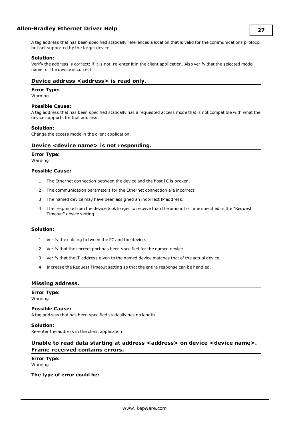#### **Solution:**

Verify the address is correct; if it is not, re-enter it in the client application. Also verify that the selected model name for the device is correct.

#### <span id="page-26-0"></span>**Device address <address>** is read only.

#### **Error Type:**

Warning

#### **Possible Cause:**

A tag address that has been specified statically has a requested access mode that is not compatible with what the device supports for that address.

#### **Solution:**

<span id="page-26-1"></span>Change the access mode in the client application.

#### **Device <device name> is not responding.**

#### **Error Type:**

Warning

#### **Possible Cause:**

- 1. The Ethernet connection between the device and the host PC is broken.
- 2. The communication parameters for the Ethernet connection are incorrect.
- 3. The named device may have been assigned an incorrect IP address.
- 4. The response from the device took longer to receive than the amount of time specified in the "Request Timeout" device setting.

#### **Solution:**

- 1. Verify the cabling between the PC and the device.
- 2. Verify that the correct port has been specified for the named device.
- 3. Verify that the IP address given to the named device matches that of the actual device.
- 4. Increase the Request Timeout setting so that the entire response can be handled.

#### <span id="page-26-2"></span>**Missing address.**

#### **Error Type:**

Warning

#### **Possible Cause:**

A tag address that has been specified statically has no length.

#### **Solution:**

<span id="page-26-3"></span>Re-enter the address in the client application.

#### **Unable to read data starting at address <address> on device <device name>. Frame received contains errors.**

**Error Type:** Warning

#### **The type of error could be:**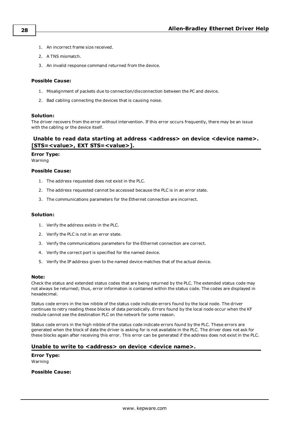- 1. An incorrect frame size received.
- 2. A TNS mismatch.
- 3. An invalid response command returned from the device.

#### **Possible Cause:**

- 1. Misalignment of packets due to connection/disconnection between the PC and device.
- 2. Bad cabling connecting the devices that is causing noise.

#### **Solution:**

The driver recovers from the error without intervention. If this error occurs frequently, there may be an issue with the cabling or the device itself.

#### <span id="page-27-0"></span>**Unable to read data starting at address <address> on device <device name>. [STS=<value>, EXT STS=<value>].**

#### **Error Type:**

Warning

#### **Possible Cause:**

- 1. The address requested does not exist in the PLC.
- 2. The address requested cannot be accessed because the PLC is in an error state.
- 3. The communications parameters for the Ethernet connection are incorrect.

#### **Solution:**

- 1. Verify the address exists in the PLC.
- 2. Verify the PLC is not in an error state.
- 3. Verify the communications parameters for the Ethernet connection are correct.
- 4. Verify the correct port is specified for the named device.
- 5. Verify the IP address given to the named device matches that of the actual device.

#### **Note:**

Check the status and extended status codes that are being returned by the PLC. The extended status code may not always be returned; thus, error information is contained within the status code. The codes are displayed in hexadecimal.

Status code errors in the low nibble of the status code indicate errors found by the local node. The driver continues to retry reading these blocks of data periodically. Errors found by the local node occur when the KF module cannot see the destination PLC on the network for some reason.

Status code errors in the high nibble of the status code indicate errors found by the PLC. These errors are generated when the block of data the driver is asking for is not available in the PLC. The driver does not ask for these blocks again after receiving this error. This error can be generated if the address does not exist in the PLC.

#### <span id="page-27-1"></span>**Unable to write to <address> on device <device name>.**

**Error Type:** Warning

**Possible Cause:**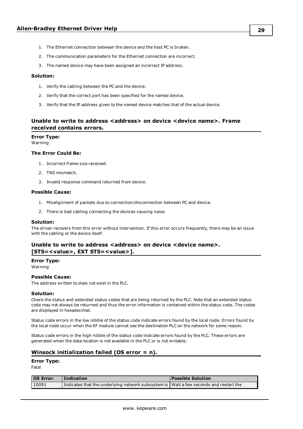- 1. The Ethernet connection between the device and the host PC is broken.
- 2. The communication parameters for the Ethernet connection are incorrect.
- 3. The named device may have been assigned an incorrect IP address.

#### **Solution:**

- 1. Verify the cabling between the PC and the device.
- 2. Verify that the correct port has been specified for the named device.
- 3. Verify that the IP address given to the named device matches that of the actual device.

#### <span id="page-28-0"></span>**Unable to write to address <address> on device <device name>. Frame received contains errors.**

#### **Error Type:**

Warning

#### **The Error Could Be:**

- 1. Incorrect frame size received.
- 2. TNS mismatch.
- 3. Invalid response command returned from device.

#### **Possible Cause:**

- 1. Misalignment of packets due to connection/disconnection between PC and device.
- 2. There is bad cabling connecting the devices causing noise.

#### **Solution:**

The driver recovers from this error without intervention. If this error occurs frequently, there may be an issue with the cabling or the device itself.

#### <span id="page-28-1"></span>**Unable to write to address <address> on device <device name>. [STS=<value>, EXT STS=<value>].**

#### **Error Type:**

Warning

#### **Possible Cause:**

The address written to does not exist in the PLC.

#### **Solution:**

Check the status and extended status codes that are being returned by the PLC. Note that an extended status code may not always be returned and thus the error information is contained within the status code. The codes are displayed in hexadecimal.

Status code errors in the low nibble of the status code indicate errors found by the local node. Errors found by the local node occur when the KF module cannot see the destination PLC on the network for some reason.

Status code errors in the high nibble of the status code indicate errors found by the PLC. These errors are generated when the data location is not available in the PLC or is not writable.

#### <span id="page-28-2"></span>**Winsock initialization failed (OS error = n).**

#### **Error Type:**

Fatal

| <b>OS Error:</b> | <b>Indication</b>                                                                       | <b>Possible Solution</b> |
|------------------|-----------------------------------------------------------------------------------------|--------------------------|
| 10091            | Indicates that the underlying network subsystem is   Wait a few seconds and restart the |                          |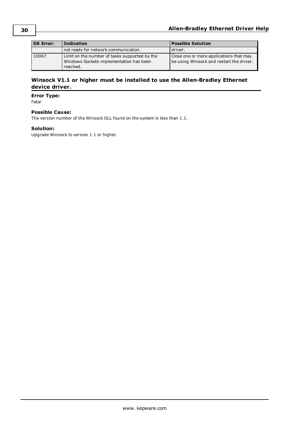| <b>OS Error:</b> | <b>Indication</b>                                                                                    | <b>Possible Solution</b>                                                            |
|------------------|------------------------------------------------------------------------------------------------------|-------------------------------------------------------------------------------------|
|                  | not ready for network communication.                                                                 | l driver.                                                                           |
| 10067            | Limit on the number of tasks supported by the<br>Windows Sockets implementation has been<br>reached. | Close one or more applications that may<br>be using Winsock and restart the driver. |

#### <span id="page-29-0"></span>**Winsock V1.1 or higher must be installed to use the Allen-Bradley Ethernet device driver.**

#### **Error Type:**

Fatal

#### **Possible Cause:**

The version number of the Winsock DLL found on the system is less than 1.1.

#### **Solution:**

Upgrade Winsock to version 1.1 or higher.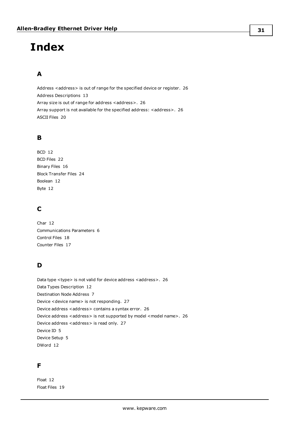# <span id="page-30-0"></span>**Index**

## **A**

Address <address> is out of range for the specified device or register. [26](#page-25-0) Address Descriptions [13](#page-12-0) Array size is out of range for address <address>. [26](#page-25-1) Array support is not available for the specified address: <address>. [26](#page-25-2) ASCII Files [20](#page-19-0)

## **B**

```
BCD 12
BCD Files 22
Binary Files 16
Block Transfer Files 24
Boolean 12
Byte 12
```
## **C**

Char [12](#page-11-4) Communications Parameters [6](#page-5-0) Control Files [18](#page-17-0) Counter Files [17](#page-16-1)

## **D**

Data type <type> is not valid for device address <address>. [26](#page-25-3) Data Types Description [12](#page-11-0) Destination Node Address [7](#page-6-1) Device <device name> is not responding. [27](#page-26-1) Device address <address> contains a syntax error. [26](#page-25-4) Device address <address> is not supported by model <model name>. [26](#page-25-5) Device address <address> is read only. [27](#page-26-0) Device ID [5](#page-4-0) Device Setup [5](#page-4-0) DWord [12](#page-11-5)

## **F**

Float [12](#page-11-6) Float Files [19](#page-18-1)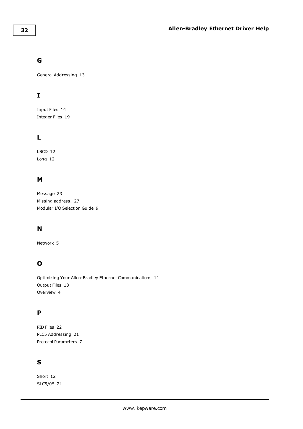## **G**

General Addressing [13](#page-12-1)

## **I**

Input Files [14](#page-13-0) Integer Files [19](#page-18-0)

## **L**

LBCD [12](#page-11-7) Long [12](#page-11-8)

## **M**

Message [23](#page-22-0) Missing address. [27](#page-26-2) Modular I/O Selection Guide [9](#page-8-0)

## **N**

Network [5](#page-4-0)

## **O**

Optimizing Your Allen-Bradley Ethernet Communications [11](#page-10-0) Output Files [13](#page-12-2) Overview [4](#page-3-1)

## **P**

PID Files [22](#page-21-1) PLC5 Addressing [21](#page-20-2) Protocol Parameters [7](#page-6-0)

## **S**

Short [12](#page-11-9) SLC5/05 [21](#page-20-1)